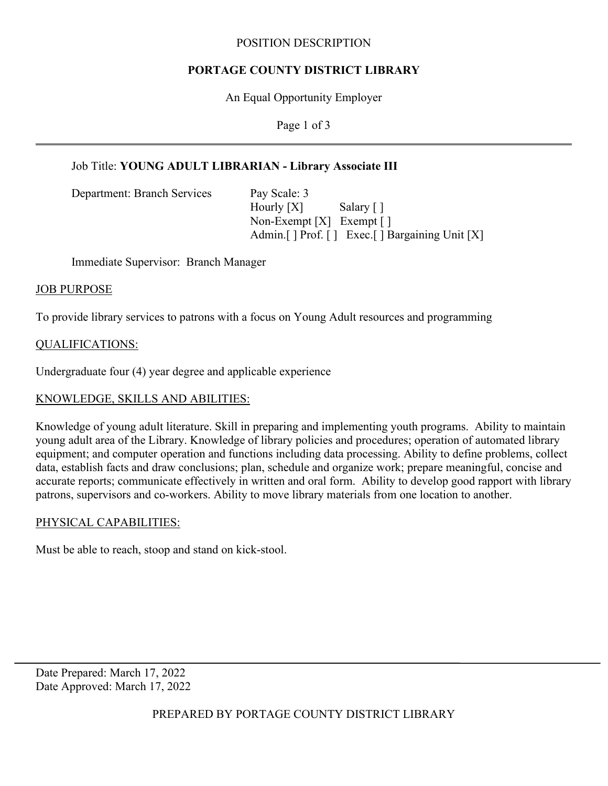#### POSITION DESCRIPTION

## **PORTAGE COUNTY DISTRICT LIBRARY**

An Equal Opportunity Employer

Page 1 of 3

# Job Title: **YOUNG ADULT LIBRARIAN - Library Associate III**

Department: Branch Services Pay Scale: 3

Hourly [X] Salary [] Non-Exempt [X] Exempt [ ] Admin. [ ] Prof. [ ] Exec. [ ] Bargaining Unit [X]

Immediate Supervisor: Branch Manager

#### JOB PURPOSE

To provide library services to patrons with a focus on Young Adult resources and programming

## QUALIFICATIONS:

Undergraduate four (4) year degree and applicable experience

# KNOWLEDGE, SKILLS AND ABILITIES:

Knowledge of young adult literature. Skill in preparing and implementing youth programs. Ability to maintain young adult area of the Library. Knowledge of library policies and procedures; operation of automated library equipment; and computer operation and functions including data processing. Ability to define problems, collect data, establish facts and draw conclusions; plan, schedule and organize work; prepare meaningful, concise and accurate reports; communicate effectively in written and oral form. Ability to develop good rapport with library patrons, supervisors and co-workers. Ability to move library materials from one location to another.

## PHYSICAL CAPABILITIES:

Must be able to reach, stoop and stand on kick-stool.

Date Prepared: March 17, 2022 Date Approved: March 17, 2022

PREPARED BY PORTAGE COUNTY DISTRICT LIBRARY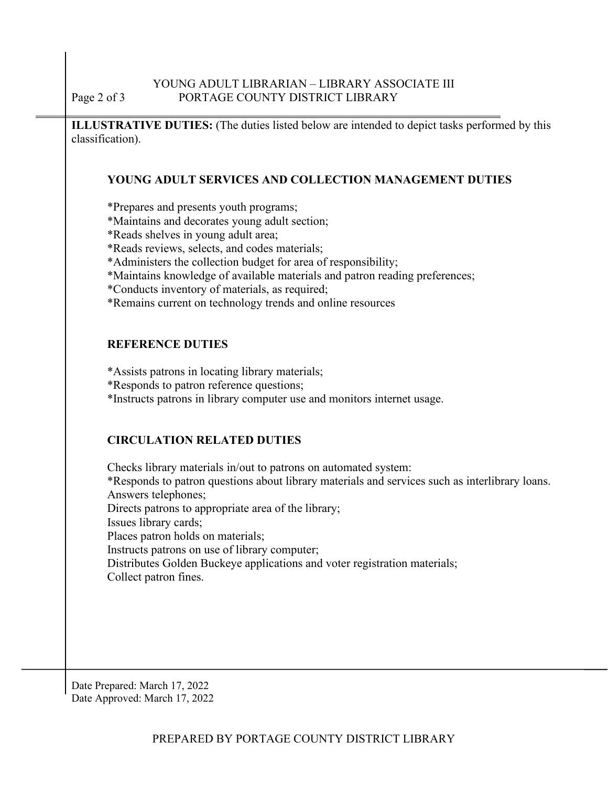**ILLUSTRATIVE DUTIES:** (The duties listed below are intended to depict tasks performed by this classification).

## **YOUNG ADULT SERVICES AND COLLECTION MANAGEMENT DUTIES**

\*Prepares and presents youth programs;

- \*Maintains and decorates young adult section;
- \*Reads shelves in young adult area;
- \*Reads reviews, selects, and codes materials;
- \*Administers the collection budget for area of responsibility;
- \*Maintains knowledge of available materials and patron reading preferences;
- \*Conducts inventory of materials, as required;
- \*Remains current on technology trends and online resources

#### **REFERENCE DUTIES**

\*Assists patrons in locating library materials;

\*Responds to patron reference questions;

\*Instructs patrons in library computer use and monitors internet usage.

## **CIRCULATION RELATED DUTIES**

Checks library materials in/out to patrons on automated system: \*Responds to patron questions about library materials and services such as interlibrary loans. Answers telephones; Directs patrons to appropriate area of the library; Issues library cards; Places patron holds on materials; Instructs patrons on use of library computer; Distributes Golden Buckeye applications and voter registration materials; Collect patron fines.

Date Prepared: March 17, 2022 Date Approved: March 17, 2022